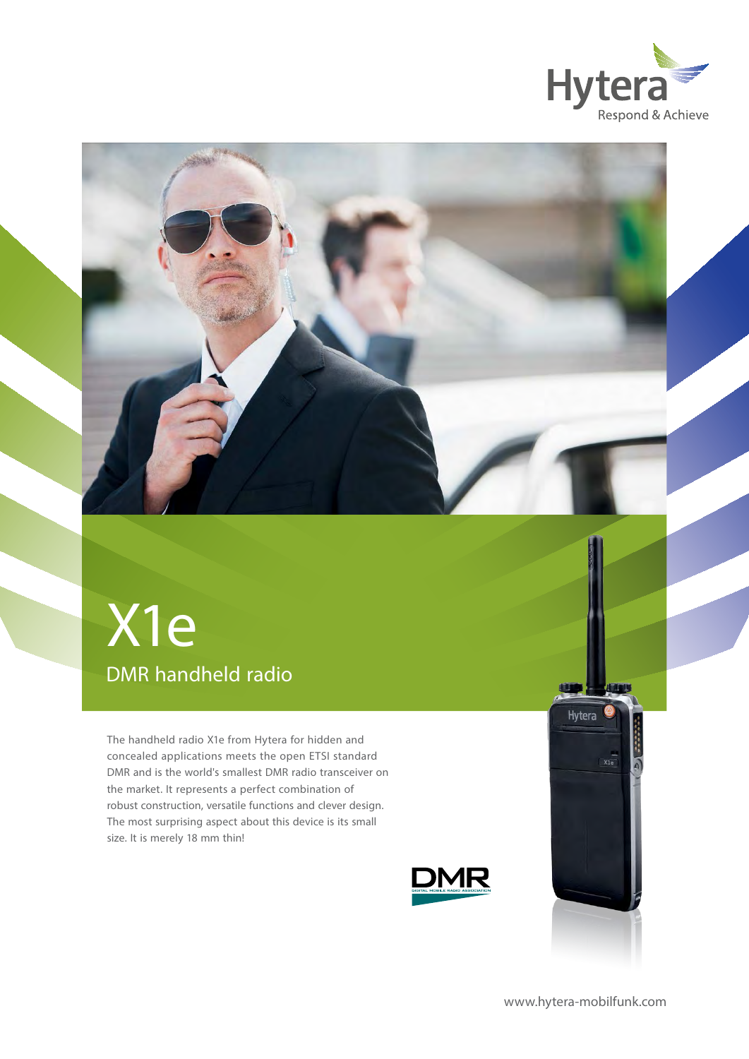



## DMR handheld radio X1e

The handheld radio X1e from Hytera for hidden and concealed applications meets the open ETSI standard DMR and is the world's smallest DMR radio transceiver on the market. It represents a perfect combination of robust construction, versatile functions and clever design. The most surprising aspect about this device is its small size. It is merely 18 mm thin!





[www.hytera-mobilfunk.com](http://www.hytera-mobilfunk.com)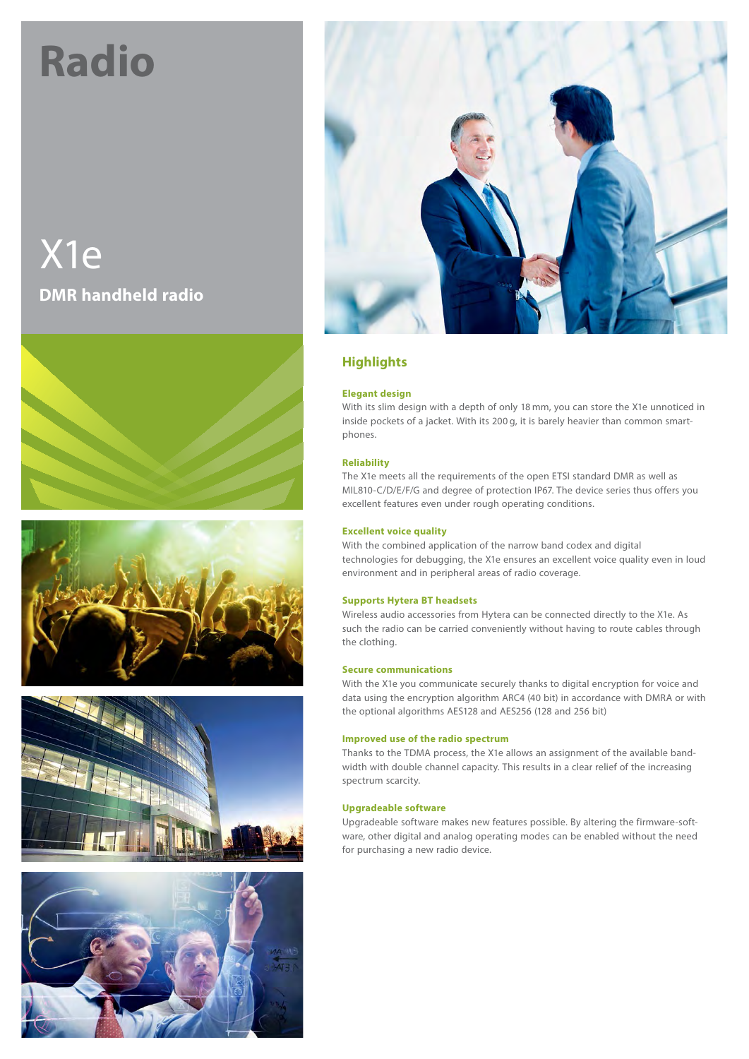# **Radio**

X1e **DMR handheld radio**











## **Highlights**

## **Elegant design**

With its slim design with a depth of only 18 mm, you can store the X1e unnoticed in inside pockets of a jacket. With its 200 g, it is barely heavier than common smartphones.

## **Reliability**

The X1e meets all the requirements of the open ETSI standard DMR as well as MIL810-C/D/E/F/G and degree of protection IP67. The device series thus offers you excellent features even under rough operating conditions.

## **Excellent voice quality**

With the combined application of the narrow band codex and digital technologies for debugging, the X1e ensures an excellent voice quality even in loud environment and in peripheral areas of radio coverage.

## **Supports Hytera BT headsets**

Wireless audio accessories from Hytera can be connected directly to the X1e. As such the radio can be carried conveniently without having to route cables through the clothing.

### **Secure communications**

With the X1e you communicate securely thanks to digital encryption for voice and data using the encryption algorithm ARC4 (40 bit) in accordance with DMRA or with the optional algorithms AES128 and AES256 (128 and 256 bit)

### **Improved use of the radio spectrum**

Thanks to the TDMA process, the X1e allows an assignment of the available bandwidth with double channel capacity. This results in a clear relief of the increasing spectrum scarcity.

## **Upgradeable software**

Upgradeable software makes new features possible. By altering the firmware-software, other digital and analog operating modes can be enabled without the need for purchasing a new radio device.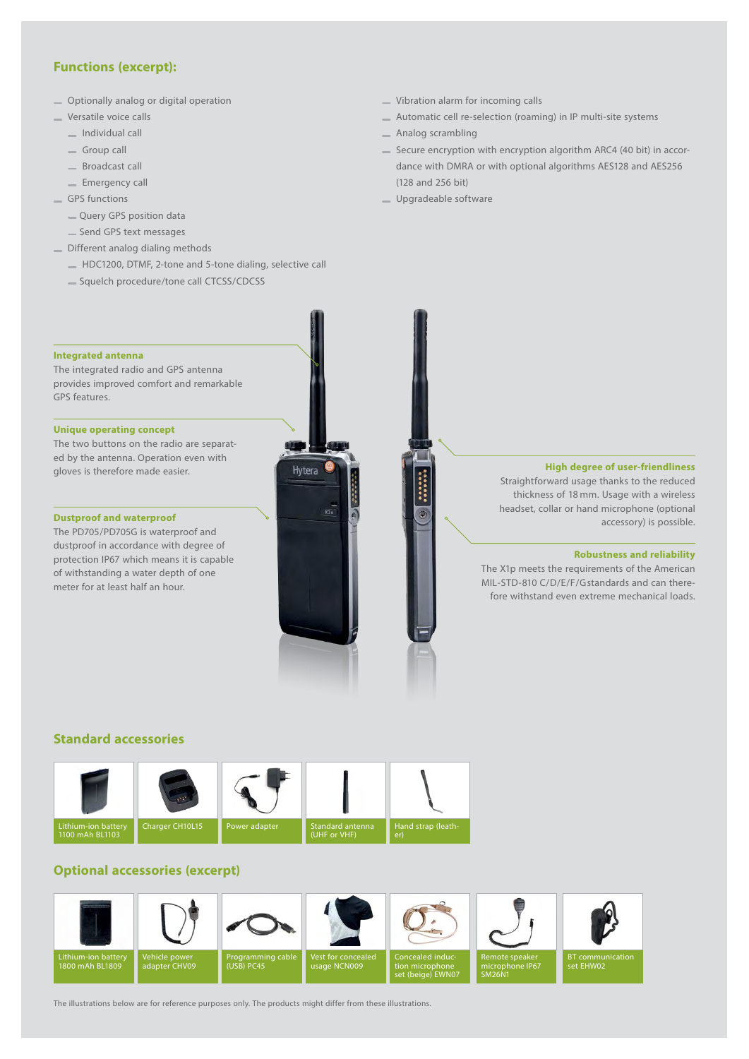## **Functions (excerpt):**

- Optionally analog or digital operation
- Versatile voice calls
	- Individual call
	- Group call
	- Broadcast call
	- **Emergency call**
- GPS functions
	- Query GPS position data
	- Send GPS text messages
- Different analog dialing methods
	- HDC1200, DTMF, 2-tone and 5-tone dialing, selective call
	- Squelch procedure/tone call CTCSS/CDCSS
- Vibration alarm for incoming calls
- Automatic cell re-selection (roaming) in IP multi-site systems
- Analog scrambling
- Secure encryption with encryption algorithm ARC4 (40 bit) in accordance with DMRA or with optional algorithms AES128 and AES256 (128 and 256 bit)
- Upgradeable software

#### **Integrated antenna**

The integrated radio and GPS antenna provides improved comfort and remarkable GPS features.

#### **Unique operating concept**

The two buttons on the radio are separated by the antenna. Operation even with gloves is therefore made easier.

#### **Dustproof and waterproof**

The PD705/PD705G is waterproof and dustproof in accordance with degree of protection IP67 which means it is capable of withstanding a water depth of one meter for at least half an hour.



## **High degree of user-friendliness**

Straightforward usage thanks to the reduced thickness of 18 mm. Usage with a wireless headset, collar or hand microphone (optional accessory) is possible.

### **Robustness and reliability**

The X1p meets the requirements of the American MIL-STD-810 C/D/E/F/G standards and can therefore withstand even extreme mechanical loads.

## **Standard accessories**



## **Optional accessories (excerpt)**



The illustrations below are for reference purposes only. The products might differ from these illustrations.